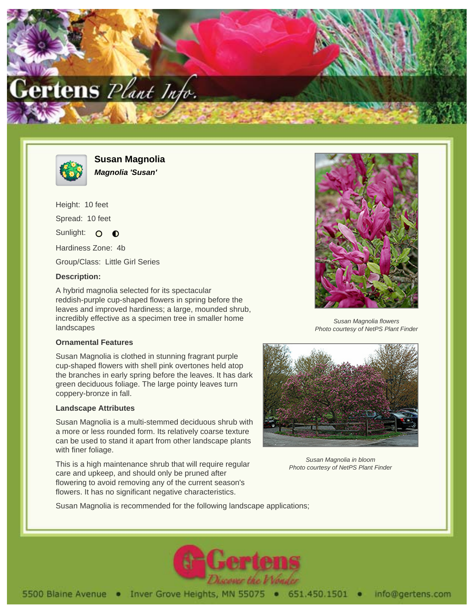



**Susan Magnolia Magnolia 'Susan'**

Height: 10 feet Spread: 10 feet Sunlight: O  $\bullet$ Hardiness Zone: 4b

Group/Class: Little Girl Series

## **Description:**

A hybrid magnolia selected for its spectacular reddish-purple cup-shaped flowers in spring before the leaves and improved hardiness; a large, mounded shrub, incredibly effective as a specimen tree in smaller home landscapes

#### **Ornamental Features**

Susan Magnolia is clothed in stunning fragrant purple cup-shaped flowers with shell pink overtones held atop the branches in early spring before the leaves. It has dark green deciduous foliage. The large pointy leaves turn coppery-bronze in fall.

## **Landscape Attributes**

Susan Magnolia is a multi-stemmed deciduous shrub with a more or less rounded form. Its relatively coarse texture can be used to stand it apart from other landscape plants with finer foliage.

This is a high maintenance shrub that will require regular care and upkeep, and should only be pruned after flowering to avoid removing any of the current season's flowers. It has no significant negative characteristics.



Susan Magnolia flowers Photo courtesy of NetPS Plant Finder



Susan Magnolia in bloom Photo courtesy of NetPS Plant Finder

Susan Magnolia is recommended for the following landscape applications;